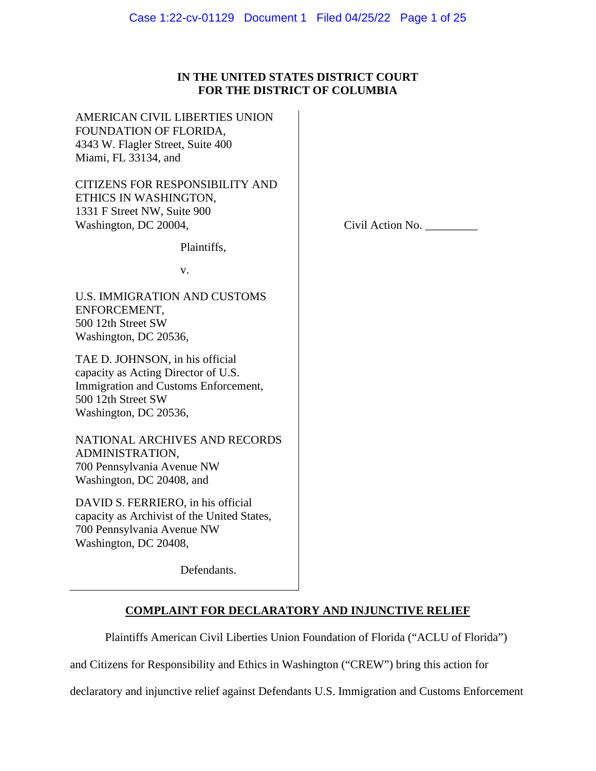# **IN THE UNITED STATES DISTRICT COURT FOR THE DISTRICT OF COLUMBIA**

AMERICAN CIVIL LIBERTIES UNION FOUNDATION OF FLORIDA, 4343 W. Flagler Street, Suite 400 Miami, FL 33134, and

CITIZENS FOR RESPONSIBILITY AND ETHICS IN WASHINGTON, 1331 F Street NW, Suite 900 Washington, DC 20004,

Civil Action No. \_\_\_\_\_\_\_\_\_

v.

Plaintiffs,

U.S. IMMIGRATION AND CUSTOMS ENFORCEMENT, 500 12th Street SW Washington, DC 20536,

TAE D. JOHNSON, in his official capacity as Acting Director of U.S. Immigration and Customs Enforcement, 500 12th Street SW Washington, DC 20536,

NATIONAL ARCHIVES AND RECORDS ADMINISTRATION, 700 Pennsylvania Avenue NW Washington, DC 20408, and

DAVID S. FERRIERO, in his official capacity as Archivist of the United States, 700 Pennsylvania Avenue NW Washington, DC 20408,

Defendants.

# **COMPLAINT FOR DECLARATORY AND INJUNCTIVE RELIEF**

Plaintiffs American Civil Liberties Union Foundation of Florida ("ACLU of Florida")

and Citizens for Responsibility and Ethics in Washington ("CREW") bring this action for

declaratory and injunctive relief against Defendants U.S. Immigration and Customs Enforcement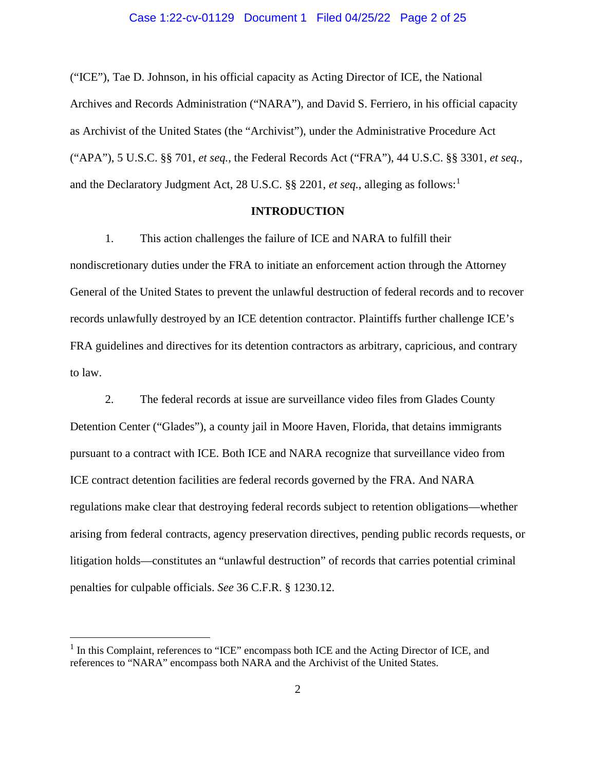("ICE"), Tae D. Johnson, in his official capacity as Acting Director of ICE, the National Archives and Records Administration ("NARA"), and David S. Ferriero, in his official capacity as Archivist of the United States (the "Archivist"), under the Administrative Procedure Act ("APA"), 5 U.S.C. §§ 701, *et seq.*, the Federal Records Act ("FRA"), 44 U.S.C. §§ 3301, *et seq.*, and the Declaratory Judgment Act, 28 U.S.C. §§ 220[1](#page-1-0), et seq., alleging as follows:<sup>1</sup>

## **INTRODUCTION**

1. This action challenges the failure of ICE and NARA to fulfill their nondiscretionary duties under the FRA to initiate an enforcement action through the Attorney General of the United States to prevent the unlawful destruction of federal records and to recover records unlawfully destroyed by an ICE detention contractor. Plaintiffs further challenge ICE's FRA guidelines and directives for its detention contractors as arbitrary, capricious, and contrary to law.

2. The federal records at issue are surveillance video files from Glades County Detention Center ("Glades"), a county jail in Moore Haven, Florida, that detains immigrants pursuant to a contract with ICE. Both ICE and NARA recognize that surveillance video from ICE contract detention facilities are federal records governed by the FRA. And NARA regulations make clear that destroying federal records subject to retention obligations—whether arising from federal contracts, agency preservation directives, pending public records requests, or litigation holds—constitutes an "unlawful destruction" of records that carries potential criminal penalties for culpable officials. *See* 36 C.F.R. § 1230.12.

<span id="page-1-0"></span><sup>&</sup>lt;sup>1</sup> In this Complaint, references to "ICE" encompass both ICE and the Acting Director of ICE, and references to "NARA" encompass both NARA and the Archivist of the United States.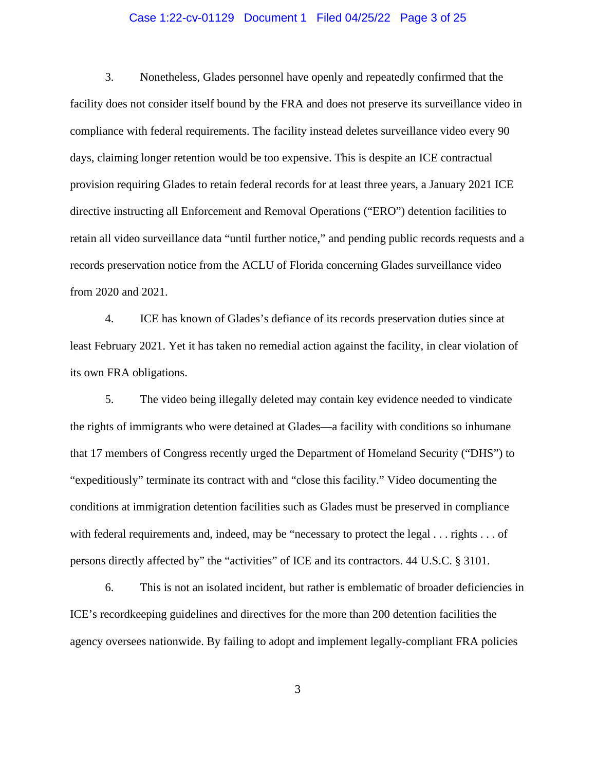# Case 1:22-cv-01129 Document 1 Filed 04/25/22 Page 3 of 25

3. Nonetheless, Glades personnel have openly and repeatedly confirmed that the facility does not consider itself bound by the FRA and does not preserve its surveillance video in compliance with federal requirements. The facility instead deletes surveillance video every 90 days, claiming longer retention would be too expensive. This is despite an ICE contractual provision requiring Glades to retain federal records for at least three years, a January 2021 ICE directive instructing all Enforcement and Removal Operations ("ERO") detention facilities to retain all video surveillance data "until further notice," and pending public records requests and a records preservation notice from the ACLU of Florida concerning Glades surveillance video from 2020 and 2021.

4. ICE has known of Glades's defiance of its records preservation duties since at least February 2021. Yet it has taken no remedial action against the facility, in clear violation of its own FRA obligations.

5. The video being illegally deleted may contain key evidence needed to vindicate the rights of immigrants who were detained at Glades—a facility with conditions so inhumane that 17 members of Congress recently urged the Department of Homeland Security ("DHS") to "expeditiously" terminate its contract with and "close this facility." Video documenting the conditions at immigration detention facilities such as Glades must be preserved in compliance with federal requirements and, indeed, may be "necessary to protect the legal . . . rights . . . of persons directly affected by" the "activities" of ICE and its contractors. 44 U.S.C. § 3101.

6. This is not an isolated incident, but rather is emblematic of broader deficiencies in ICE's recordkeeping guidelines and directives for the more than 200 detention facilities the agency oversees nationwide. By failing to adopt and implement legally-compliant FRA policies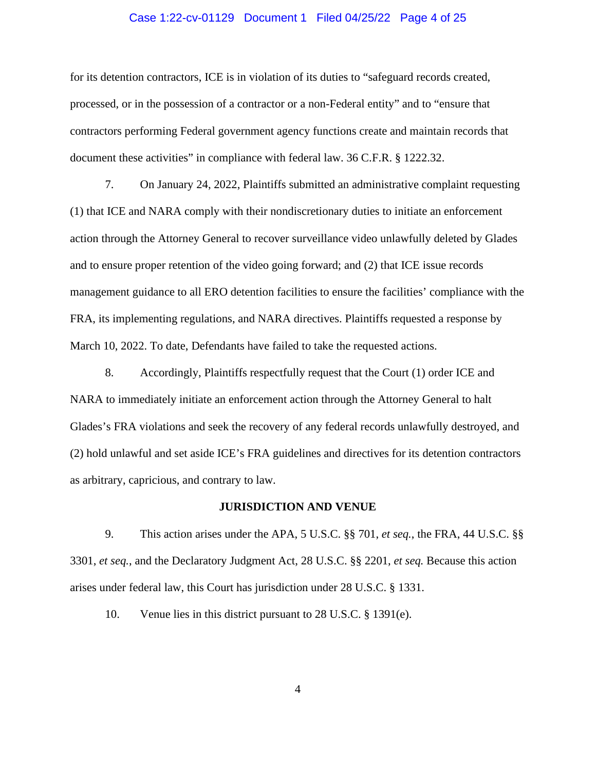## Case 1:22-cv-01129 Document 1 Filed 04/25/22 Page 4 of 25

for its detention contractors, ICE is in violation of its duties to "safeguard records created, processed, or in the possession of a contractor or a non-Federal entity" and to "ensure that contractors performing Federal government agency functions create and maintain records that document these activities" in compliance with federal law. 36 C.F.R. § 1222.32.

7. On January 24, 2022, Plaintiffs submitted an administrative complaint requesting (1) that ICE and NARA comply with their nondiscretionary duties to initiate an enforcement action through the Attorney General to recover surveillance video unlawfully deleted by Glades and to ensure proper retention of the video going forward; and (2) that ICE issue records management guidance to all ERO detention facilities to ensure the facilities' compliance with the FRA, its implementing regulations, and NARA directives. Plaintiffs requested a response by March 10, 2022. To date, Defendants have failed to take the requested actions.

8. Accordingly, Plaintiffs respectfully request that the Court (1) order ICE and NARA to immediately initiate an enforcement action through the Attorney General to halt Glades's FRA violations and seek the recovery of any federal records unlawfully destroyed, and (2) hold unlawful and set aside ICE's FRA guidelines and directives for its detention contractors as arbitrary, capricious, and contrary to law.

#### **JURISDICTION AND VENUE**

9. This action arises under the APA, 5 U.S.C. §§ 701, *et seq.*, the FRA, 44 U.S.C. §§ 3301, *et seq.*, and the Declaratory Judgment Act, 28 U.S.C. §§ 2201, *et seq.* Because this action arises under federal law, this Court has jurisdiction under 28 U.S.C. § 1331.

10. Venue lies in this district pursuant to 28 U.S.C. § 1391(e).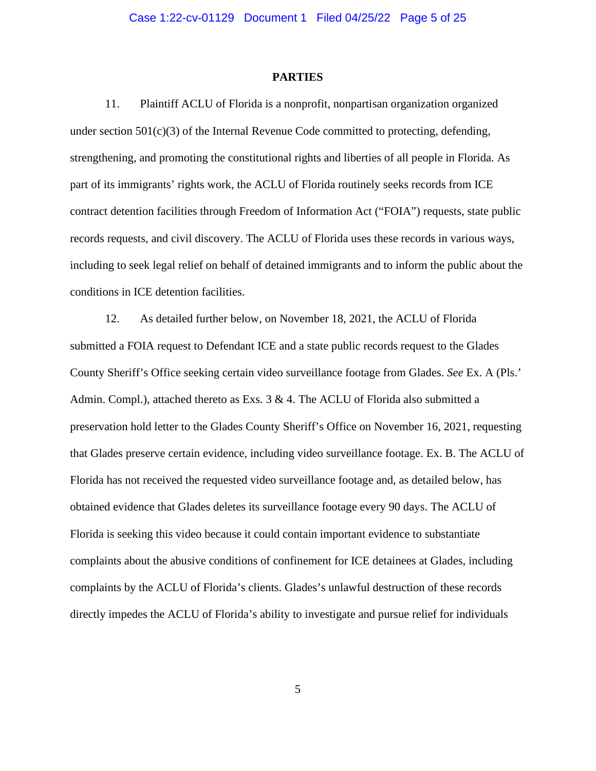#### **PARTIES**

11. Plaintiff ACLU of Florida is a nonprofit, nonpartisan organization organized under section  $501(c)(3)$  of the Internal Revenue Code committed to protecting, defending, strengthening, and promoting the constitutional rights and liberties of all people in Florida. As part of its immigrants' rights work, the ACLU of Florida routinely seeks records from ICE contract detention facilities through Freedom of Information Act ("FOIA") requests, state public records requests, and civil discovery. The ACLU of Florida uses these records in various ways, including to seek legal relief on behalf of detained immigrants and to inform the public about the conditions in ICE detention facilities.

12. As detailed further below, on November 18, 2021, the ACLU of Florida submitted a FOIA request to Defendant ICE and a state public records request to the Glades County Sheriff's Office seeking certain video surveillance footage from Glades. *See* Ex. A (Pls.' Admin. Compl.), attached thereto as Exs. 3 & 4. The ACLU of Florida also submitted a preservation hold letter to the Glades County Sheriff's Office on November 16, 2021, requesting that Glades preserve certain evidence, including video surveillance footage. Ex. B. The ACLU of Florida has not received the requested video surveillance footage and, as detailed below, has obtained evidence that Glades deletes its surveillance footage every 90 days. The ACLU of Florida is seeking this video because it could contain important evidence to substantiate complaints about the abusive conditions of confinement for ICE detainees at Glades, including complaints by the ACLU of Florida's clients. Glades's unlawful destruction of these records directly impedes the ACLU of Florida's ability to investigate and pursue relief for individuals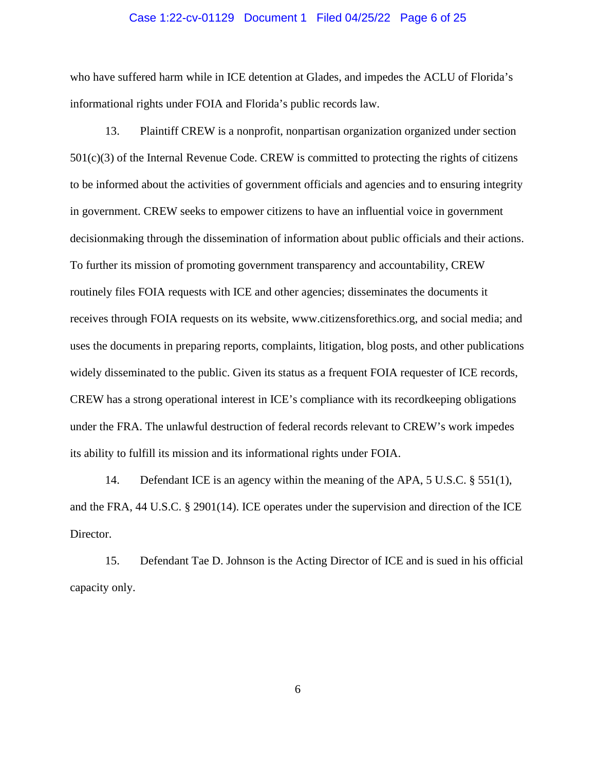### Case 1:22-cv-01129 Document 1 Filed 04/25/22 Page 6 of 25

who have suffered harm while in ICE detention at Glades, and impedes the ACLU of Florida's informational rights under FOIA and Florida's public records law.

13. Plaintiff CREW is a nonprofit, nonpartisan organization organized under section 501(c)(3) of the Internal Revenue Code. CREW is committed to protecting the rights of citizens to be informed about the activities of government officials and agencies and to ensuring integrity in government. CREW seeks to empower citizens to have an influential voice in government decisionmaking through the dissemination of information about public officials and their actions. To further its mission of promoting government transparency and accountability, CREW routinely files FOIA requests with ICE and other agencies; disseminates the documents it receives through FOIA requests on its website, www.citizensforethics.org, and social media; and uses the documents in preparing reports, complaints, litigation, blog posts, and other publications widely disseminated to the public. Given its status as a frequent FOIA requester of ICE records, CREW has a strong operational interest in ICE's compliance with its recordkeeping obligations under the FRA. The unlawful destruction of federal records relevant to CREW's work impedes its ability to fulfill its mission and its informational rights under FOIA.

14. Defendant ICE is an agency within the meaning of the APA, 5 U.S.C. § 551(1), and the FRA, 44 U.S.C. § 2901(14). ICE operates under the supervision and direction of the ICE Director.

15. Defendant Tae D. Johnson is the Acting Director of ICE and is sued in his official capacity only.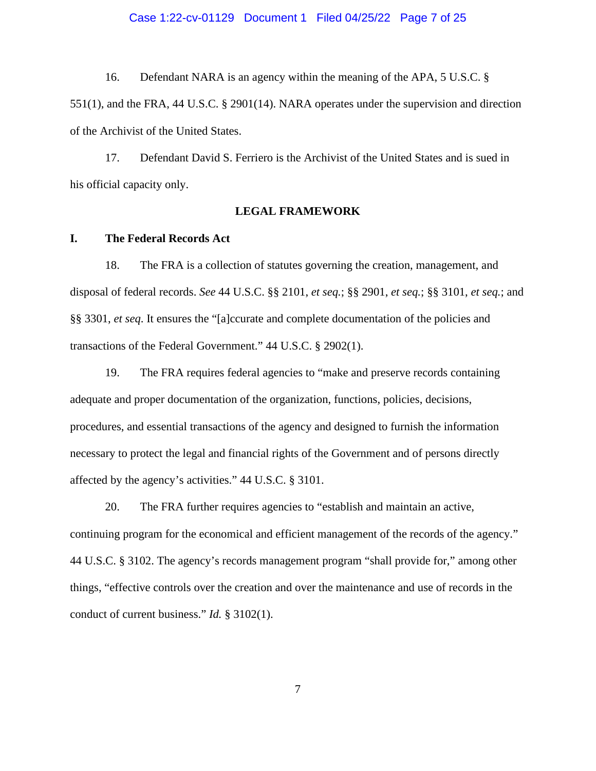### Case 1:22-cv-01129 Document 1 Filed 04/25/22 Page 7 of 25

16. Defendant NARA is an agency within the meaning of the APA, 5 U.S.C. §

551(1), and the FRA, 44 U.S.C. § 2901(14). NARA operates under the supervision and direction of the Archivist of the United States.

17. Defendant David S. Ferriero is the Archivist of the United States and is sued in his official capacity only.

# **LEGAL FRAMEWORK**

## **I. The Federal Records Act**

18. The FRA is a collection of statutes governing the creation, management, and disposal of federal records. *See* 44 U.S.C. §§ 2101, *et seq.*; §§ 2901, *et seq.*; §§ 3101, *et seq.*; and §§ 3301, *et seq*. It ensures the "[a]ccurate and complete documentation of the policies and transactions of the Federal Government." 44 U.S.C. § 2902(1).

19. The FRA requires federal agencies to "make and preserve records containing adequate and proper documentation of the organization, functions, policies, decisions, procedures, and essential transactions of the agency and designed to furnish the information necessary to protect the legal and financial rights of the Government and of persons directly affected by the agency's activities." 44 U.S.C. § 3101.

20. The FRA further requires agencies to "establish and maintain an active, continuing program for the economical and efficient management of the records of the agency." 44 U.S.C. § 3102. The agency's records management program "shall provide for," among other things, "effective controls over the creation and over the maintenance and use of records in the conduct of current business." *Id.* § 3102(1).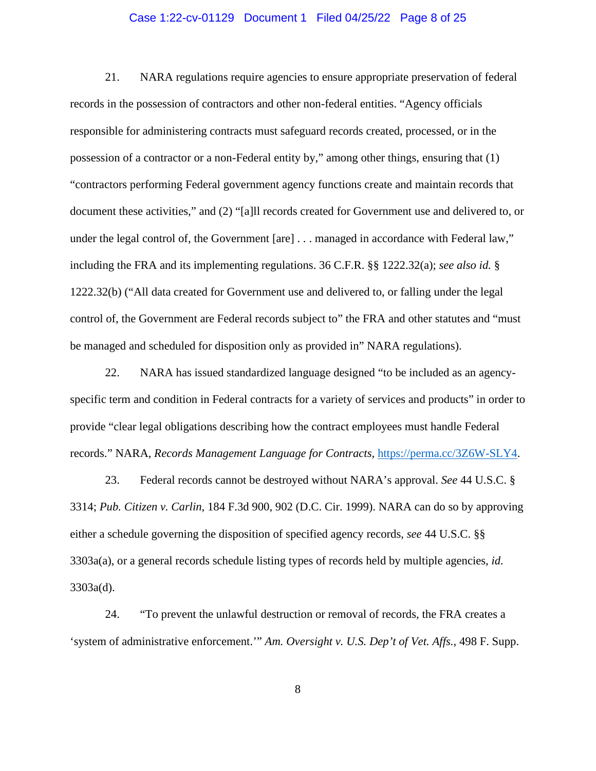## Case 1:22-cv-01129 Document 1 Filed 04/25/22 Page 8 of 25

21. NARA regulations require agencies to ensure appropriate preservation of federal records in the possession of contractors and other non-federal entities. "Agency officials responsible for administering contracts must safeguard records created, processed, or in the possession of a contractor or a non-Federal entity by," among other things, ensuring that (1) "contractors performing Federal government agency functions create and maintain records that document these activities," and (2) "[a]ll records created for Government use and delivered to, or under the legal control of, the Government [are] ... managed in accordance with Federal law," including the FRA and its implementing regulations. 36 C.F.R. §§ 1222.32(a); *see also id.* § 1222.32(b) ("All data created for Government use and delivered to, or falling under the legal control of, the Government are Federal records subject to" the FRA and other statutes and "must be managed and scheduled for disposition only as provided in" NARA regulations).

22. NARA has issued standardized language designed "to be included as an agencyspecific term and condition in Federal contracts for a variety of services and products" in order to provide "clear legal obligations describing how the contract employees must handle Federal records." NARA, *Records Management Language for Contracts*, [https://perma.cc/3Z6W-SLY4.](https://perma.cc/3Z6W-SLY4)

23. Federal records cannot be destroyed without NARA's approval. *See* 44 U.S.C. § 3314; *Pub. Citizen v. Carlin*, 184 F.3d 900, 902 (D.C. Cir. 1999). NARA can do so by approving either a schedule governing the disposition of specified agency records, *see* 44 U.S.C. §§ 3303a(a), or a general records schedule listing types of records held by multiple agencies, *id.* 3303a(d).

24. "To prevent the unlawful destruction or removal of records, the FRA creates a 'system of administrative enforcement.'" *Am. Oversight v. U.S. Dep't of Vet. Affs.*, 498 F. Supp.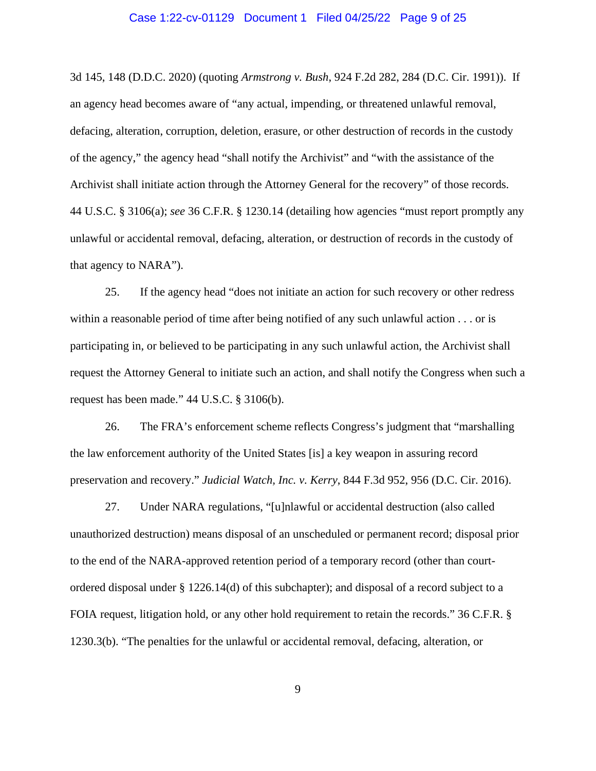### Case 1:22-cv-01129 Document 1 Filed 04/25/22 Page 9 of 25

3d 145, 148 (D.D.C. 2020) (quoting *Armstrong v. Bush*, 924 F.2d 282, 284 (D.C. Cir. 1991)). If an agency head becomes aware of "any actual, impending, or threatened unlawful removal, defacing, alteration, corruption, deletion, erasure, or other destruction of records in the custody of the agency," the agency head "shall notify the Archivist" and "with the assistance of the Archivist shall initiate action through the Attorney General for the recovery" of those records. 44 U.S.C. § 3106(a); *see* 36 C.F.R. § 1230.14 (detailing how agencies "must report promptly any unlawful or accidental removal, defacing, alteration, or destruction of records in the custody of that agency to NARA").

25. If the agency head "does not initiate an action for such recovery or other redress within a reasonable period of time after being notified of any such unlawful action . . . or is participating in, or believed to be participating in any such unlawful action, the Archivist shall request the Attorney General to initiate such an action, and shall notify the Congress when such a request has been made." 44 U.S.C. § 3106(b).

26. The FRA's enforcement scheme reflects Congress's judgment that "marshalling the law enforcement authority of the United States [is] a key weapon in assuring record preservation and recovery." *Judicial Watch, Inc. v. Kerry*, 844 F.3d 952, 956 (D.C. Cir. 2016).

27. Under NARA regulations, "[u]nlawful or accidental destruction (also called unauthorized destruction) means disposal of an unscheduled or permanent record; disposal prior to the end of the NARA-approved retention period of a temporary record (other than courtordered disposal under § 1226.14(d) of this subchapter); and disposal of a record subject to a FOIA request, litigation hold, or any other hold requirement to retain the records." 36 C.F.R. § 1230.3(b). "The penalties for the unlawful or accidental removal, defacing, alteration, or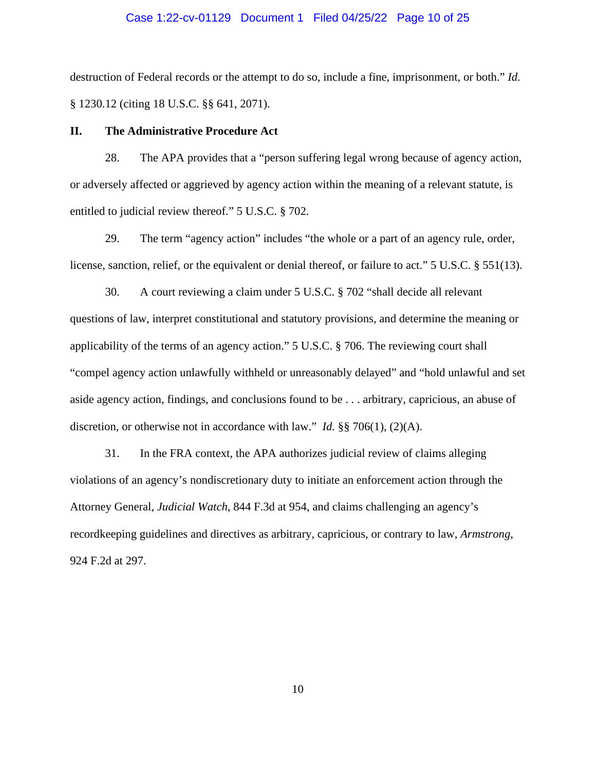## Case 1:22-cv-01129 Document 1 Filed 04/25/22 Page 10 of 25

destruction of Federal records or the attempt to do so, include a fine, imprisonment, or both." *Id.* § 1230.12 (citing 18 U.S.C. §§ 641, 2071).

# **II. The Administrative Procedure Act**

28. The APA provides that a "person suffering legal wrong because of agency action, or adversely affected or aggrieved by agency action within the meaning of a relevant statute, is entitled to judicial review thereof." 5 U.S.C. § 702.

29. The term "agency action" includes "the whole or a part of an agency rule, order, license, sanction, relief, or the equivalent or denial thereof, or failure to act." 5 U.S.C. § 551(13).

30. A court reviewing a claim under 5 U.S.C. § 702 "shall decide all relevant questions of law, interpret constitutional and statutory provisions, and determine the meaning or applicability of the terms of an agency action." 5 U.S.C. § 706. The reviewing court shall "compel agency action unlawfully withheld or unreasonably delayed" and "hold unlawful and set aside agency action, findings, and conclusions found to be . . . arbitrary, capricious, an abuse of discretion, or otherwise not in accordance with law." *Id.* §§ 706(1), (2)(A).

31. In the FRA context, the APA authorizes judicial review of claims alleging violations of an agency's nondiscretionary duty to initiate an enforcement action through the Attorney General, *Judicial Watch*, 844 F.3d at 954, and claims challenging an agency's recordkeeping guidelines and directives as arbitrary, capricious, or contrary to law, *Armstrong*, 924 F.2d at 297.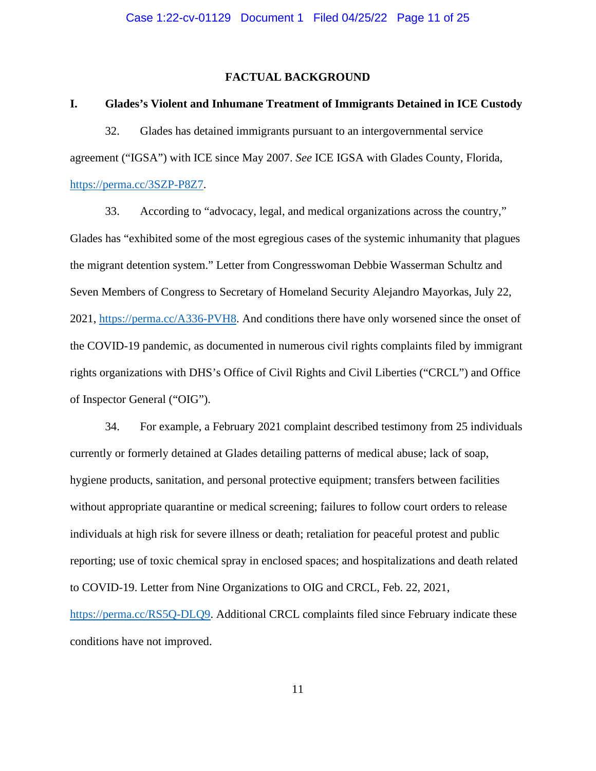# **FACTUAL BACKGROUND**

#### **I. Glades's Violent and Inhumane Treatment of Immigrants Detained in ICE Custody**

32. Glades has detained immigrants pursuant to an intergovernmental service agreement ("IGSA") with ICE since May 2007. *See* ICE IGSA with Glades County, Florida, [https://perma.cc/3SZP-P8Z7.](https://perma.cc/3SZP-P8Z7)

33. According to "advocacy, legal, and medical organizations across the country," Glades has "exhibited some of the most egregious cases of the systemic inhumanity that plagues the migrant detention system." Letter from Congresswoman Debbie Wasserman Schultz and Seven Members of Congress to Secretary of Homeland Security Alejandro Mayorkas, July 22, 2021, [https://perma.cc/A336-PVH8.](https://perma.cc/A336-PVH8) And conditions there have only worsened since the onset of the COVID-19 pandemic, as documented in numerous civil rights complaints filed by immigrant rights organizations with DHS's Office of Civil Rights and Civil Liberties ("CRCL") and Office of Inspector General ("OIG").

34. For example, a February 2021 complaint described testimony from 25 individuals currently or formerly detained at Glades detailing patterns of medical abuse; lack of soap, hygiene products, sanitation, and personal protective equipment; transfers between facilities without appropriate quarantine or medical screening; failures to follow court orders to release individuals at high risk for severe illness or death; retaliation for peaceful protest and public reporting; use of toxic chemical spray in enclosed spaces; and hospitalizations and death related to COVID-19. Letter from Nine Organizations to OIG and CRCL, Feb. 22, 2021, [https://perma.cc/RS5Q-DLQ9.](https://perma.cc/RS5Q-DLQ9) Additional CRCL complaints filed since February indicate these conditions have not improved.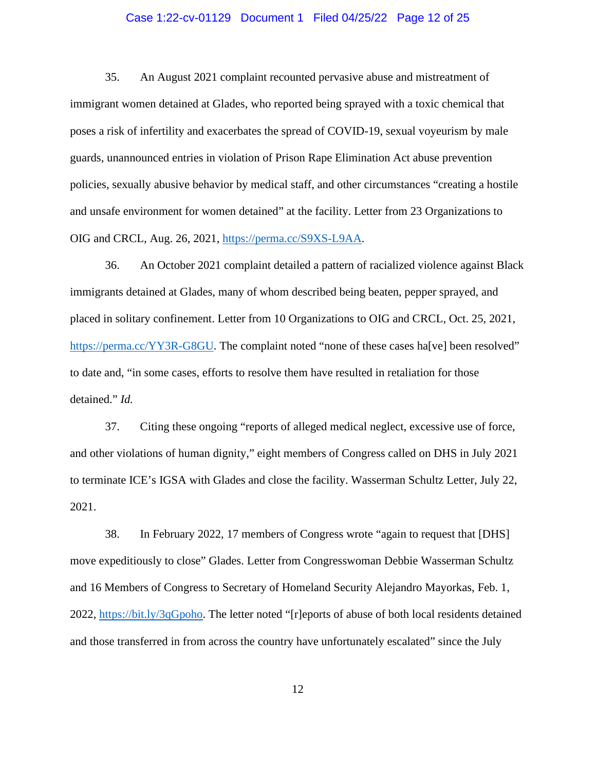# Case 1:22-cv-01129 Document 1 Filed 04/25/22 Page 12 of 25

35. An August 2021 complaint recounted pervasive abuse and mistreatment of immigrant women detained at Glades, who reported being sprayed with a toxic chemical that poses a risk of infertility and exacerbates the spread of COVID-19, sexual voyeurism by male guards, unannounced entries in violation of Prison Rape Elimination Act abuse prevention policies, sexually abusive behavior by medical staff, and other circumstances "creating a hostile and unsafe environment for women detained" at the facility. Letter from 23 Organizations to OIG and CRCL, Aug. 26, 2021, [https://perma.cc/S9XS-L9AA.](https://perma.cc/S9XS-L9AA)

36. An October 2021 complaint detailed a pattern of racialized violence against Black immigrants detained at Glades, many of whom described being beaten, pepper sprayed, and placed in solitary confinement. Letter from 10 Organizations to OIG and CRCL, Oct. 25, 2021, [https://perma.cc/YY3R-G8GU.](https://perma.cc/YY3R-G8GU) The complaint noted "none of these cases ha[ve] been resolved" to date and, "in some cases, efforts to resolve them have resulted in retaliation for those detained." *Id.*

37. Citing these ongoing "reports of alleged medical neglect, excessive use of force, and other violations of human dignity," eight members of Congress called on DHS in July 2021 to terminate ICE's IGSA with Glades and close the facility. Wasserman Schultz Letter, July 22, 2021.

38. In February 2022, 17 members of Congress wrote "again to request that [DHS] move expeditiously to close" Glades. Letter from Congresswoman Debbie Wasserman Schultz and 16 Members of Congress to Secretary of Homeland Security Alejandro Mayorkas, Feb. 1, 2022, [https://bit.ly/3qGpoho.](https://bit.ly/3qGpoho) The letter noted "[r]eports of abuse of both local residents detained and those transferred in from across the country have unfortunately escalated" since the July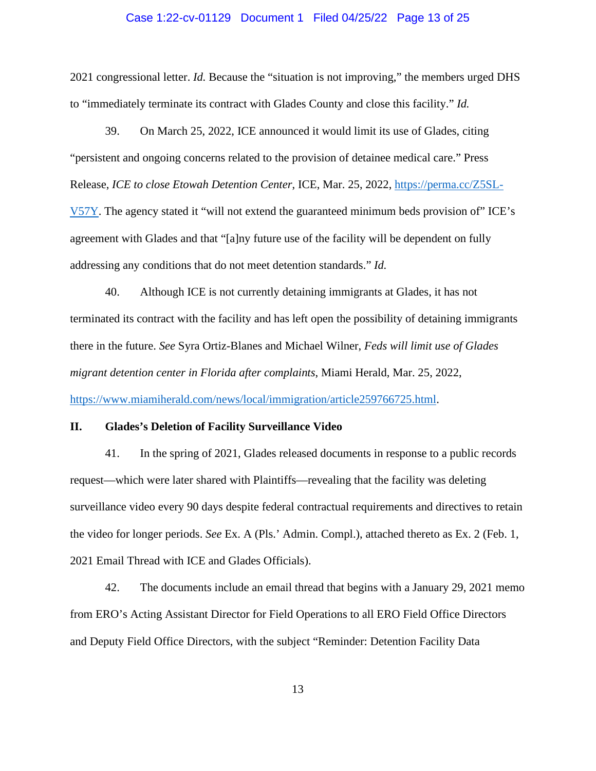### Case 1:22-cv-01129 Document 1 Filed 04/25/22 Page 13 of 25

2021 congressional letter. *Id.* Because the "situation is not improving," the members urged DHS to "immediately terminate its contract with Glades County and close this facility." *Id.*

39. On March 25, 2022, ICE announced it would limit its use of Glades, citing "persistent and ongoing concerns related to the provision of detainee medical care." Press Release, *ICE to close Etowah Detention Center*, ICE, Mar. 25, 2022, [https://perma.cc/Z5SL-](https://perma.cc/Z5SL-V57Y)[V57Y.](https://perma.cc/Z5SL-V57Y) The agency stated it "will not extend the guaranteed minimum beds provision of" ICE's agreement with Glades and that "[a]ny future use of the facility will be dependent on fully addressing any conditions that do not meet detention standards." *Id.*

40. Although ICE is not currently detaining immigrants at Glades, it has not terminated its contract with the facility and has left open the possibility of detaining immigrants there in the future. *See* Syra Ortiz-Blanes and Michael Wilner, *Feds will limit use of Glades migrant detention center in Florida after complaints*, Miami Herald, Mar. 25, 2022, [https://www.miamiherald.com/news/local/immigration/article259766725.html.](https://www.miamiherald.com/news/local/immigration/article259766725.html)

#### **II. Glades's Deletion of Facility Surveillance Video**

41. In the spring of 2021, Glades released documents in response to a public records request—which were later shared with Plaintiffs—revealing that the facility was deleting surveillance video every 90 days despite federal contractual requirements and directives to retain the video for longer periods. *See* Ex. A (Pls.' Admin. Compl.), attached thereto as Ex. 2 (Feb. 1, 2021 Email Thread with ICE and Glades Officials).

42. The documents include an email thread that begins with a January 29, 2021 memo from ERO's Acting Assistant Director for Field Operations to all ERO Field Office Directors and Deputy Field Office Directors, with the subject "Reminder: Detention Facility Data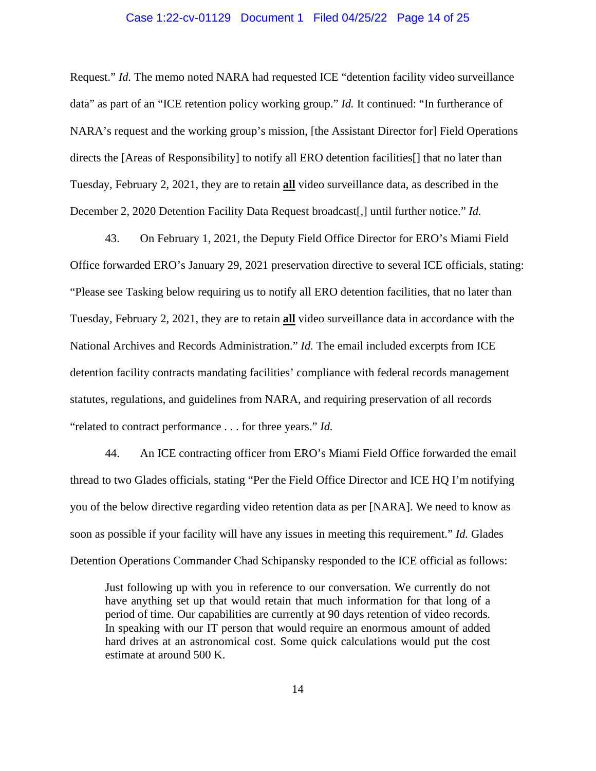## Case 1:22-cv-01129 Document 1 Filed 04/25/22 Page 14 of 25

Request." *Id.* The memo noted NARA had requested ICE "detention facility video surveillance data" as part of an "ICE retention policy working group." *Id.* It continued: "In furtherance of NARA's request and the working group's mission, [the Assistant Director for] Field Operations directs the [Areas of Responsibility] to notify all ERO detention facilities[] that no later than Tuesday, February 2, 2021, they are to retain **all** video surveillance data, as described in the December 2, 2020 Detention Facility Data Request broadcast[,] until further notice." *Id.*

43. On February 1, 2021, the Deputy Field Office Director for ERO's Miami Field Office forwarded ERO's January 29, 2021 preservation directive to several ICE officials, stating: "Please see Tasking below requiring us to notify all ERO detention facilities, that no later than Tuesday, February 2, 2021, they are to retain **all** video surveillance data in accordance with the National Archives and Records Administration." *Id.* The email included excerpts from ICE detention facility contracts mandating facilities' compliance with federal records management statutes, regulations, and guidelines from NARA, and requiring preservation of all records "related to contract performance . . . for three years." *Id.*

44. An ICE contracting officer from ERO's Miami Field Office forwarded the email thread to two Glades officials, stating "Per the Field Office Director and ICE HQ I'm notifying you of the below directive regarding video retention data as per [NARA]. We need to know as soon as possible if your facility will have any issues in meeting this requirement." *Id.* Glades Detention Operations Commander Chad Schipansky responded to the ICE official as follows:

Just following up with you in reference to our conversation. We currently do not have anything set up that would retain that much information for that long of a period of time. Our capabilities are currently at 90 days retention of video records. In speaking with our IT person that would require an enormous amount of added hard drives at an astronomical cost. Some quick calculations would put the cost estimate at around 500 K.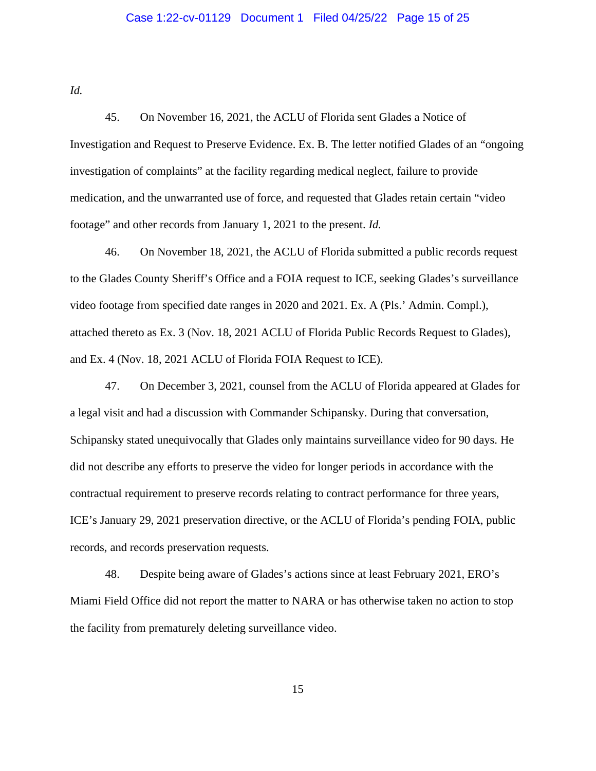# Case 1:22-cv-01129 Document 1 Filed 04/25/22 Page 15 of 25

*Id.*

45. On November 16, 2021, the ACLU of Florida sent Glades a Notice of Investigation and Request to Preserve Evidence. Ex. B. The letter notified Glades of an "ongoing investigation of complaints" at the facility regarding medical neglect, failure to provide medication, and the unwarranted use of force, and requested that Glades retain certain "video footage" and other records from January 1, 2021 to the present. *Id.*

46. On November 18, 2021, the ACLU of Florida submitted a public records request to the Glades County Sheriff's Office and a FOIA request to ICE, seeking Glades's surveillance video footage from specified date ranges in 2020 and 2021. Ex. A (Pls.' Admin. Compl.), attached thereto as Ex. 3 (Nov. 18, 2021 ACLU of Florida Public Records Request to Glades), and Ex. 4 (Nov. 18, 2021 ACLU of Florida FOIA Request to ICE).

47. On December 3, 2021, counsel from the ACLU of Florida appeared at Glades for a legal visit and had a discussion with Commander Schipansky. During that conversation, Schipansky stated unequivocally that Glades only maintains surveillance video for 90 days. He did not describe any efforts to preserve the video for longer periods in accordance with the contractual requirement to preserve records relating to contract performance for three years, ICE's January 29, 2021 preservation directive, or the ACLU of Florida's pending FOIA, public records, and records preservation requests.

48. Despite being aware of Glades's actions since at least February 2021, ERO's Miami Field Office did not report the matter to NARA or has otherwise taken no action to stop the facility from prematurely deleting surveillance video.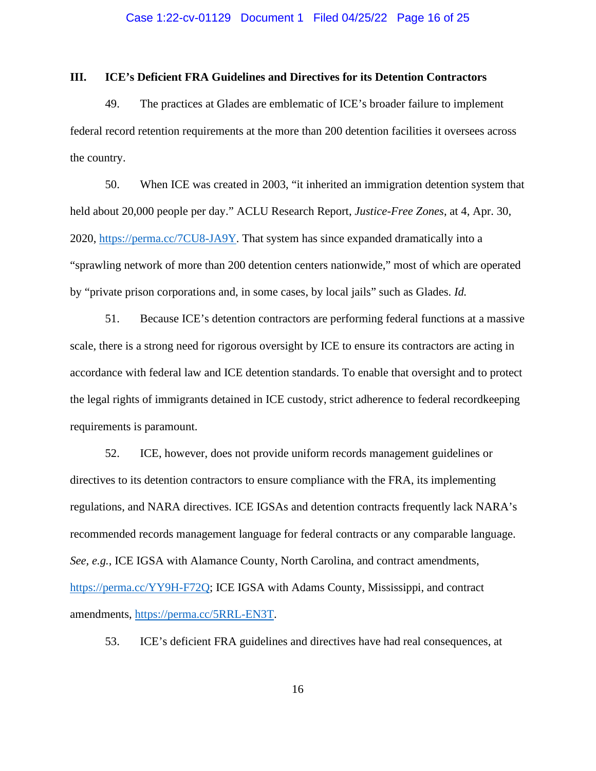## **III. ICE's Deficient FRA Guidelines and Directives for its Detention Contractors**

49. The practices at Glades are emblematic of ICE's broader failure to implement federal record retention requirements at the more than 200 detention facilities it oversees across the country.

50. When ICE was created in 2003, "it inherited an immigration detention system that held about 20,000 people per day." ACLU Research Report, *Justice-Free Zones*, at 4, Apr. 30, 2020, [https://perma.cc/7CU8-JA9Y.](https://perma.cc/7CU8-JA9Y) That system has since expanded dramatically into a "sprawling network of more than 200 detention centers nationwide," most of which are operated by "private prison corporations and, in some cases, by local jails" such as Glades. *Id.*

51. Because ICE's detention contractors are performing federal functions at a massive scale, there is a strong need for rigorous oversight by ICE to ensure its contractors are acting in accordance with federal law and ICE detention standards. To enable that oversight and to protect the legal rights of immigrants detained in ICE custody, strict adherence to federal recordkeeping requirements is paramount.

52. ICE, however, does not provide uniform records management guidelines or directives to its detention contractors to ensure compliance with the FRA, its implementing regulations, and NARA directives. ICE IGSAs and detention contracts frequently lack NARA's recommended records management language for federal contracts or any comparable language. *See, e.g.*, ICE IGSA with Alamance County, North Carolina, and contract amendments, [https://perma.cc/YY9H-F72Q;](https://perma.cc/YY9H-F72Q) ICE IGSA with Adams County, Mississippi, and contract amendments, [https://perma.cc/5RRL-EN3T.](https://perma.cc/5RRL-EN3T)

53. ICE's deficient FRA guidelines and directives have had real consequences, at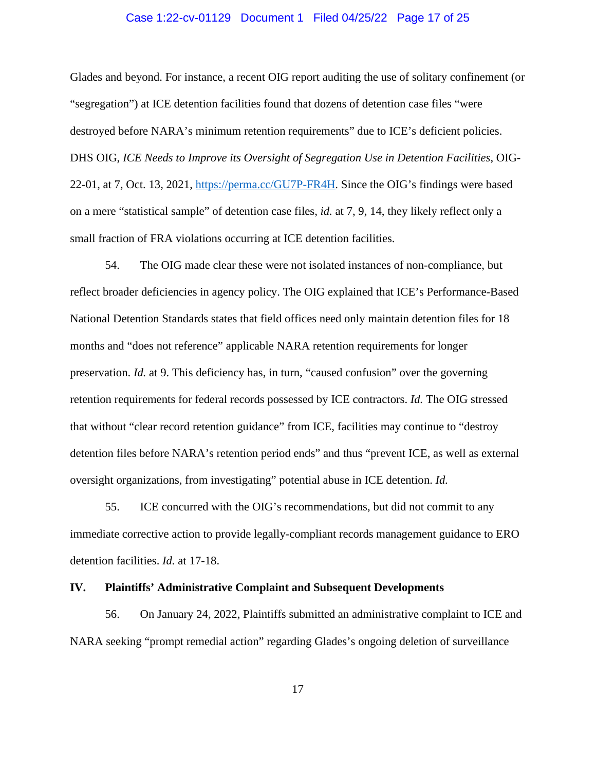# Case 1:22-cv-01129 Document 1 Filed 04/25/22 Page 17 of 25

Glades and beyond. For instance, a recent OIG report auditing the use of solitary confinement (or "segregation") at ICE detention facilities found that dozens of detention case files "were destroyed before NARA's minimum retention requirements" due to ICE's deficient policies. DHS OIG, *ICE Needs to Improve its Oversight of Segregation Use in Detention Facilities*, OIG-22-01, at 7, Oct. 13, 2021, [https://perma.cc/GU7P-FR4H.](https://perma.cc/GU7P-FR4H) Since the OIG's findings were based on a mere "statistical sample" of detention case files, *id.* at 7, 9, 14, they likely reflect only a small fraction of FRA violations occurring at ICE detention facilities.

54. The OIG made clear these were not isolated instances of non-compliance, but reflect broader deficiencies in agency policy. The OIG explained that ICE's Performance-Based National Detention Standards states that field offices need only maintain detention files for 18 months and "does not reference" applicable NARA retention requirements for longer preservation. *Id.* at 9. This deficiency has, in turn, "caused confusion" over the governing retention requirements for federal records possessed by ICE contractors. *Id.* The OIG stressed that without "clear record retention guidance" from ICE, facilities may continue to "destroy detention files before NARA's retention period ends" and thus "prevent ICE, as well as external oversight organizations, from investigating" potential abuse in ICE detention. *Id.*

55. ICE concurred with the OIG's recommendations, but did not commit to any immediate corrective action to provide legally-compliant records management guidance to ERO detention facilities. *Id.* at 17-18.

## **IV. Plaintiffs' Administrative Complaint and Subsequent Developments**

56. On January 24, 2022, Plaintiffs submitted an administrative complaint to ICE and NARA seeking "prompt remedial action" regarding Glades's ongoing deletion of surveillance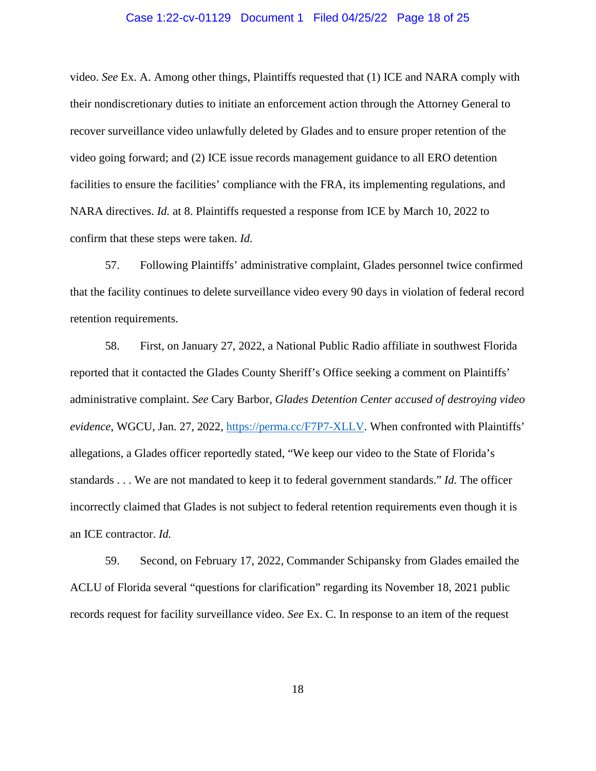## Case 1:22-cv-01129 Document 1 Filed 04/25/22 Page 18 of 25

video. *See* Ex. A. Among other things, Plaintiffs requested that (1) ICE and NARA comply with their nondiscretionary duties to initiate an enforcement action through the Attorney General to recover surveillance video unlawfully deleted by Glades and to ensure proper retention of the video going forward; and (2) ICE issue records management guidance to all ERO detention facilities to ensure the facilities' compliance with the FRA, its implementing regulations, and NARA directives. *Id.* at 8. Plaintiffs requested a response from ICE by March 10, 2022 to confirm that these steps were taken. *Id.*

57. Following Plaintiffs' administrative complaint, Glades personnel twice confirmed that the facility continues to delete surveillance video every 90 days in violation of federal record retention requirements.

58. First, on January 27, 2022, a National Public Radio affiliate in southwest Florida reported that it contacted the Glades County Sheriff's Office seeking a comment on Plaintiffs' administrative complaint. *See* Cary Barbor, *Glades Detention Center accused of destroying video evidence*, WGCU, Jan. 27, 2022, [https://perma.cc/F7P7-XLLV.](https://perma.cc/F7P7-XLLV) When confronted with Plaintiffs' allegations, a Glades officer reportedly stated, "We keep our video to the State of Florida's standards . . . We are not mandated to keep it to federal government standards." *Id.* The officer incorrectly claimed that Glades is not subject to federal retention requirements even though it is an ICE contractor. *Id.*

59. Second, on February 17, 2022, Commander Schipansky from Glades emailed the ACLU of Florida several "questions for clarification" regarding its November 18, 2021 public records request for facility surveillance video. *See* Ex. C. In response to an item of the request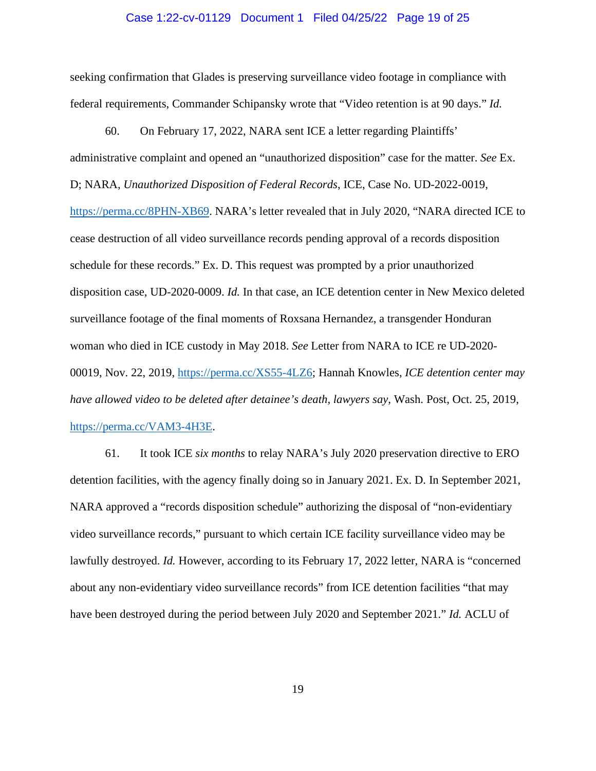#### Case 1:22-cv-01129 Document 1 Filed 04/25/22 Page 19 of 25

seeking confirmation that Glades is preserving surveillance video footage in compliance with federal requirements, Commander Schipansky wrote that "Video retention is at 90 days." *Id.*

60. On February 17, 2022, NARA sent ICE a letter regarding Plaintiffs' administrative complaint and opened an "unauthorized disposition" case for the matter. *See* Ex. D; NARA, *Unauthorized Disposition of Federal Records*, ICE, Case No. UD-2022-0019, [https://perma.cc/8PHN-XB69.](https://perma.cc/8PHN-XB69) NARA's letter revealed that in July 2020, "NARA directed ICE to cease destruction of all video surveillance records pending approval of a records disposition schedule for these records." Ex. D. This request was prompted by a prior unauthorized disposition case, UD-2020-0009. *Id.* In that case, an ICE detention center in New Mexico deleted surveillance footage of the final moments of Roxsana Hernandez, a transgender Honduran woman who died in ICE custody in May 2018. *See* Letter from NARA to ICE re UD-2020- 00019, Nov. 22, 2019, [https://perma.cc/XS55-4LZ6;](https://perma.cc/XS55-4LZ6) Hannah Knowles, *ICE detention center may have allowed video to be deleted after detainee's death, lawyers say*, Wash. Post, Oct. 25, 2019, [https://perma.cc/VAM3-4H3E.](https://perma.cc/VAM3-4H3E)

61. It took ICE *six months* to relay NARA's July 2020 preservation directive to ERO detention facilities, with the agency finally doing so in January 2021. Ex. D. In September 2021, NARA approved a "records disposition schedule" authorizing the disposal of "non-evidentiary video surveillance records," pursuant to which certain ICE facility surveillance video may be lawfully destroyed. *Id.* However, according to its February 17, 2022 letter, NARA is "concerned about any non-evidentiary video surveillance records" from ICE detention facilities "that may have been destroyed during the period between July 2020 and September 2021." *Id.* ACLU of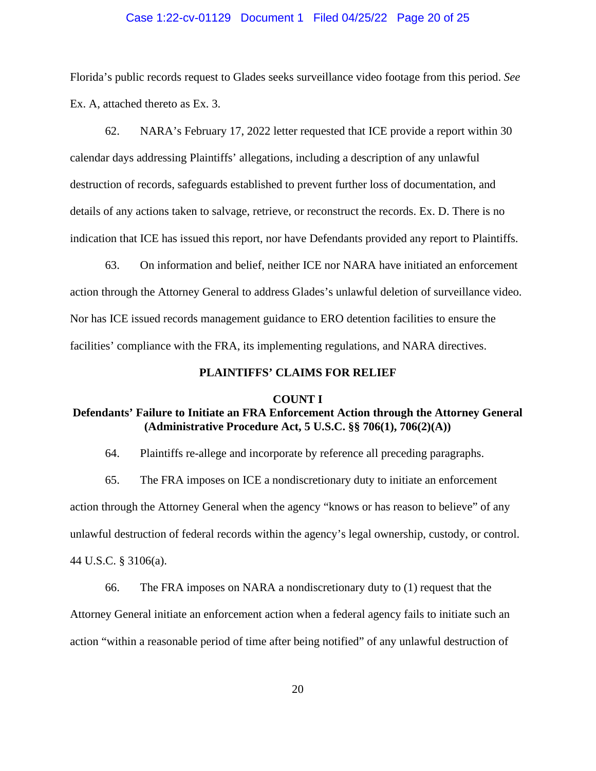## Case 1:22-cv-01129 Document 1 Filed 04/25/22 Page 20 of 25

Florida's public records request to Glades seeks surveillance video footage from this period. *See* Ex. A, attached thereto as Ex. 3.

62. NARA's February 17, 2022 letter requested that ICE provide a report within 30 calendar days addressing Plaintiffs' allegations, including a description of any unlawful destruction of records, safeguards established to prevent further loss of documentation, and details of any actions taken to salvage, retrieve, or reconstruct the records. Ex. D. There is no indication that ICE has issued this report, nor have Defendants provided any report to Plaintiffs.

63. On information and belief, neither ICE nor NARA have initiated an enforcement action through the Attorney General to address Glades's unlawful deletion of surveillance video. Nor has ICE issued records management guidance to ERO detention facilities to ensure the facilities' compliance with the FRA, its implementing regulations, and NARA directives.

# **PLAINTIFFS' CLAIMS FOR RELIEF**

#### **COUNT I**

# **Defendants' Failure to Initiate an FRA Enforcement Action through the Attorney General (Administrative Procedure Act, 5 U.S.C. §§ 706(1), 706(2)(A))**

64. Plaintiffs re-allege and incorporate by reference all preceding paragraphs.

65. The FRA imposes on ICE a nondiscretionary duty to initiate an enforcement action through the Attorney General when the agency "knows or has reason to believe" of any unlawful destruction of federal records within the agency's legal ownership, custody, or control. 44 U.S.C. § 3106(a).

66. The FRA imposes on NARA a nondiscretionary duty to (1) request that the Attorney General initiate an enforcement action when a federal agency fails to initiate such an action "within a reasonable period of time after being notified" of any unlawful destruction of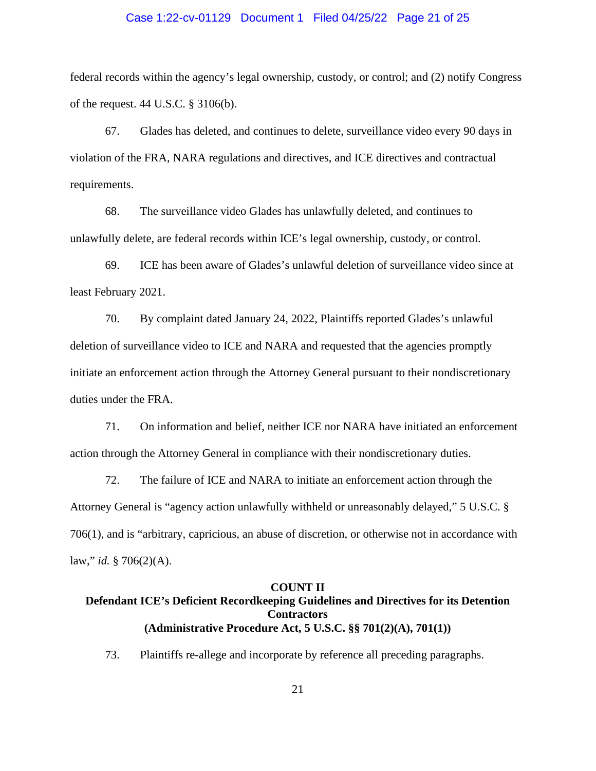## Case 1:22-cv-01129 Document 1 Filed 04/25/22 Page 21 of 25

federal records within the agency's legal ownership, custody, or control; and (2) notify Congress of the request. 44 U.S.C. § 3106(b).

67. Glades has deleted, and continues to delete, surveillance video every 90 days in violation of the FRA, NARA regulations and directives, and ICE directives and contractual requirements.

68. The surveillance video Glades has unlawfully deleted, and continues to unlawfully delete, are federal records within ICE's legal ownership, custody, or control.

69. ICE has been aware of Glades's unlawful deletion of surveillance video since at least February 2021.

70. By complaint dated January 24, 2022, Plaintiffs reported Glades's unlawful deletion of surveillance video to ICE and NARA and requested that the agencies promptly initiate an enforcement action through the Attorney General pursuant to their nondiscretionary duties under the FRA.

71. On information and belief, neither ICE nor NARA have initiated an enforcement action through the Attorney General in compliance with their nondiscretionary duties.

72. The failure of ICE and NARA to initiate an enforcement action through the Attorney General is "agency action unlawfully withheld or unreasonably delayed," 5 U.S.C. § 706(1), and is "arbitrary, capricious, an abuse of discretion, or otherwise not in accordance with law," *id.* § 706(2)(A).

#### **COUNT II**

# **Defendant ICE's Deficient Recordkeeping Guidelines and Directives for its Detention Contractors (Administrative Procedure Act, 5 U.S.C. §§ 701(2)(A), 701(1))**

73. Plaintiffs re-allege and incorporate by reference all preceding paragraphs.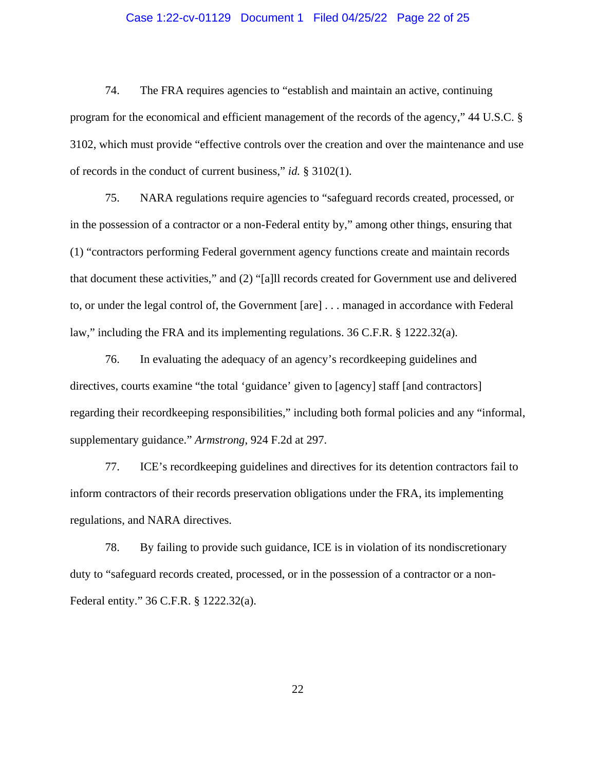# Case 1:22-cv-01129 Document 1 Filed 04/25/22 Page 22 of 25

74. The FRA requires agencies to "establish and maintain an active, continuing program for the economical and efficient management of the records of the agency," 44 U.S.C. § 3102, which must provide "effective controls over the creation and over the maintenance and use of records in the conduct of current business," *id.* § 3102(1).

75. NARA regulations require agencies to "safeguard records created, processed, or in the possession of a contractor or a non-Federal entity by," among other things, ensuring that (1) "contractors performing Federal government agency functions create and maintain records that document these activities," and (2) "[a]ll records created for Government use and delivered to, or under the legal control of, the Government [are] . . . managed in accordance with Federal law," including the FRA and its implementing regulations. 36 C.F.R. § 1222.32(a).

76. In evaluating the adequacy of an agency's recordkeeping guidelines and directives, courts examine "the total 'guidance' given to [agency] staff [and contractors] regarding their recordkeeping responsibilities," including both formal policies and any "informal, supplementary guidance." *Armstrong*, 924 F.2d at 297.

77. ICE's recordkeeping guidelines and directives for its detention contractors fail to inform contractors of their records preservation obligations under the FRA, its implementing regulations, and NARA directives.

78. By failing to provide such guidance, ICE is in violation of its nondiscretionary duty to "safeguard records created, processed, or in the possession of a contractor or a non-Federal entity." 36 C.F.R. § 1222.32(a).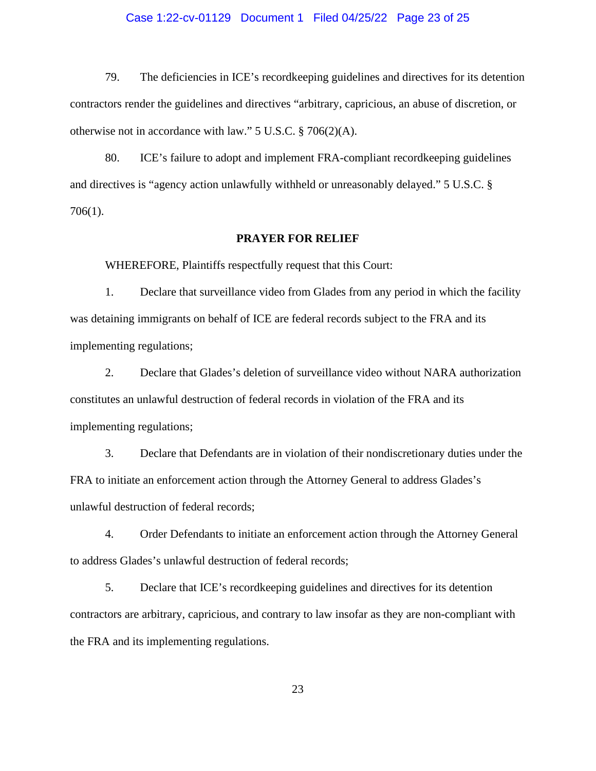# Case 1:22-cv-01129 Document 1 Filed 04/25/22 Page 23 of 25

79. The deficiencies in ICE's recordkeeping guidelines and directives for its detention contractors render the guidelines and directives "arbitrary, capricious, an abuse of discretion, or otherwise not in accordance with law." 5 U.S.C. § 706(2)(A).

80. ICE's failure to adopt and implement FRA-compliant recordkeeping guidelines and directives is "agency action unlawfully withheld or unreasonably delayed." 5 U.S.C. § 706(1).

#### **PRAYER FOR RELIEF**

WHEREFORE, Plaintiffs respectfully request that this Court:

1. Declare that surveillance video from Glades from any period in which the facility was detaining immigrants on behalf of ICE are federal records subject to the FRA and its implementing regulations;

2. Declare that Glades's deletion of surveillance video without NARA authorization constitutes an unlawful destruction of federal records in violation of the FRA and its implementing regulations;

3. Declare that Defendants are in violation of their nondiscretionary duties under the FRA to initiate an enforcement action through the Attorney General to address Glades's unlawful destruction of federal records;

4. Order Defendants to initiate an enforcement action through the Attorney General to address Glades's unlawful destruction of federal records;

5. Declare that ICE's recordkeeping guidelines and directives for its detention contractors are arbitrary, capricious, and contrary to law insofar as they are non-compliant with the FRA and its implementing regulations.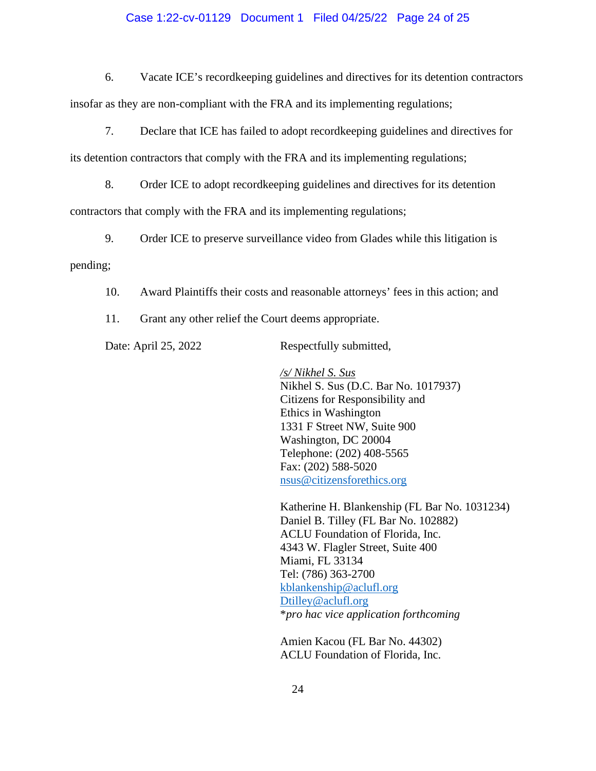# Case 1:22-cv-01129 Document 1 Filed 04/25/22 Page 24 of 25

6. Vacate ICE's recordkeeping guidelines and directives for its detention contractors

insofar as they are non-compliant with the FRA and its implementing regulations;

7. Declare that ICE has failed to adopt recordkeeping guidelines and directives for

its detention contractors that comply with the FRA and its implementing regulations;

8. Order ICE to adopt recordkeeping guidelines and directives for its detention

contractors that comply with the FRA and its implementing regulations;

9. Order ICE to preserve surveillance video from Glades while this litigation is

pending;

10. Award Plaintiffs their costs and reasonable attorneys' fees in this action; and

11. Grant any other relief the Court deems appropriate.

Date: April 25, 2022 Respectfully submitted,

*/s/ Nikhel S. Sus* Nikhel S. Sus (D.C. Bar No. 1017937) Citizens for Responsibility and Ethics in Washington 1331 F Street NW, Suite 900 Washington, DC 20004 Telephone: (202) 408-5565 Fax: (202) 588-5020 [nsus@citizensforethics.org](mailto:nsus@citizensforethics.org) 

Katherine H. Blankenship (FL Bar No. 1031234) Daniel B. Tilley (FL Bar No. 102882) ACLU Foundation of Florida, Inc. 4343 W. Flagler Street, Suite 400 Miami, FL 33134 Tel: (786) 363-2700 [kblankenship@aclufl.org](mailto:kblankenship@aclufl.org) [Dtilley@aclufl.org](mailto:Dtilley@aclufl.org) \**pro hac vice application forthcoming*

Amien Kacou (FL Bar No. 44302) ACLU Foundation of Florida, Inc.